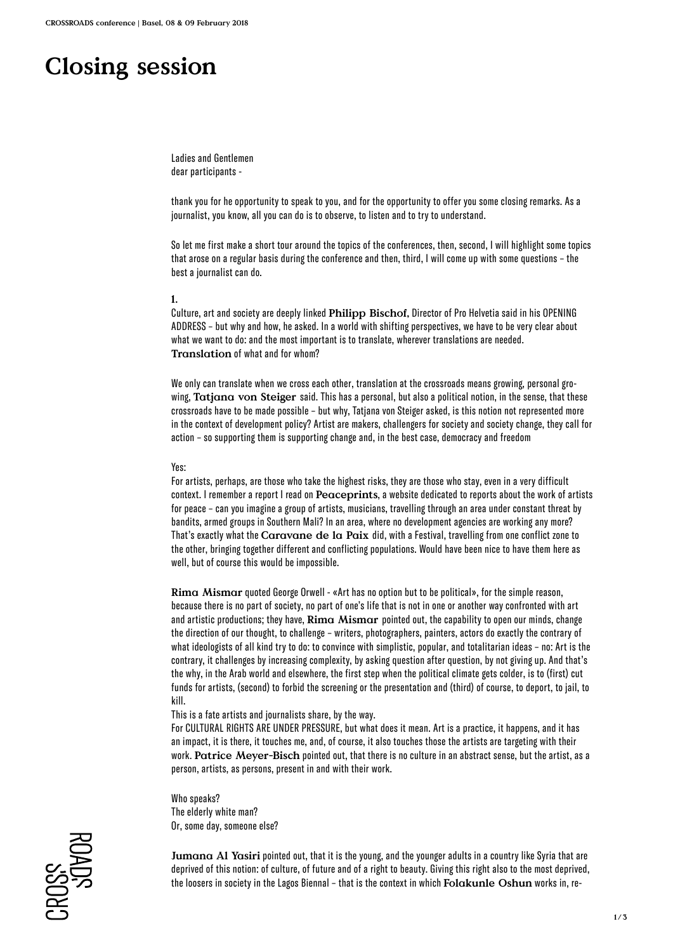# **Closing session**

Ladies and Gentlemen dear participants -

thank you for he opportunity to speak to you, and for the opportunity to offer you some closing remarks. As a journalist, you know, all you can do is to observe, to listen and to try to understand.

So let me first make a short tour around the topics of the conferences, then, second, I will highlight some topics that arose on a regular basis during the conference and then, third, I will come up with some questions – the best a journalist can do.

### **1.**

Culture, art and society are deeply linked **Philipp Bischof,** Director of Pro Helvetia said in his OPENING ADDRESS – but why and how, he asked. In a world with shifting perspectives, we have to be very clear about what we want to do: and the most important is to translate, wherever translations are needed. **Translation** of what and for whom?

We only can translate when we cross each other, translation at the crossroads means growing, personal growing, **Tatjana von Steiger** said. This has a personal, but also a political notion, in the sense, that these crossroads have to be made possible – but why, Tatjana von Steiger asked, is this notion not represented more in the context of development policy? Artist are makers, challengers for society and society change, they call for action – so supporting them is supporting change and, in the best case, democracy and freedom

### Yes:

For artists, perhaps, are those who take the highest risks, they are those who stay, even in a very difficult context. I remember a report I read on **Peaceprints**, a website dedicated to reports about the work of artists for peace – can you imagine a group of artists, musicians, travelling through an area under constant threat by bandits, armed groups in Southern Mali? In an area, where no development agencies are working any more? That's exactly what the **Caravane de la Paix** did, with a Festival, travelling from one conflict zone to the other, bringing together different and conflicting populations. Would have been nice to have them here as well, but of course this would be impossible.

**Rima Mismar** quoted George Orwell - «Art has no option but to be political», for the simple reason, because there is no part of society, no part of one's life that is not in one or another way confronted with art and artistic productions; they have, **Rima Mismar** pointed out, the capability to open our minds, change the direction of our thought, to challenge – writers, photographers, painters, actors do exactly the contrary of what ideologists of all kind try to do: to convince with simplistic, popular, and totalitarian ideas – no: Art is the contrary, it challenges by increasing complexity, by asking question after question, by not giving up. And that's the why, in the Arab world and elsewhere, the first step when the political climate gets colder, is to (first) cut funds for artists, (second) to forbid the screening or the presentation and (third) of course, to deport, to jail, to kill.

This is a fate artists and journalists share, by the way.

For CULTURAL RIGHTS ARE UNDER PRESSURE, but what does it mean. Art is a practice, it happens, and it has an impact, it is there, it touches me, and, of course, it also touches those the artists are targeting with their work. **Patrice Meyer-Bisch** pointed out, that there is no culture in an abstract sense, but the artist, as a person, artists, as persons, present in and with their work.

Who speaks? The elderly white man? Or, some day, someone else?

**Jumana Al Yasiri** pointed out, that it is the young, and the younger adults in a country like Syria that are deprived of this notion: of culture, of future and of a right to beauty. Giving this right also to the most deprived, the loosers in society in the Lagos Biennal – that is the context in which **Folakunle Oshun** works in, re-

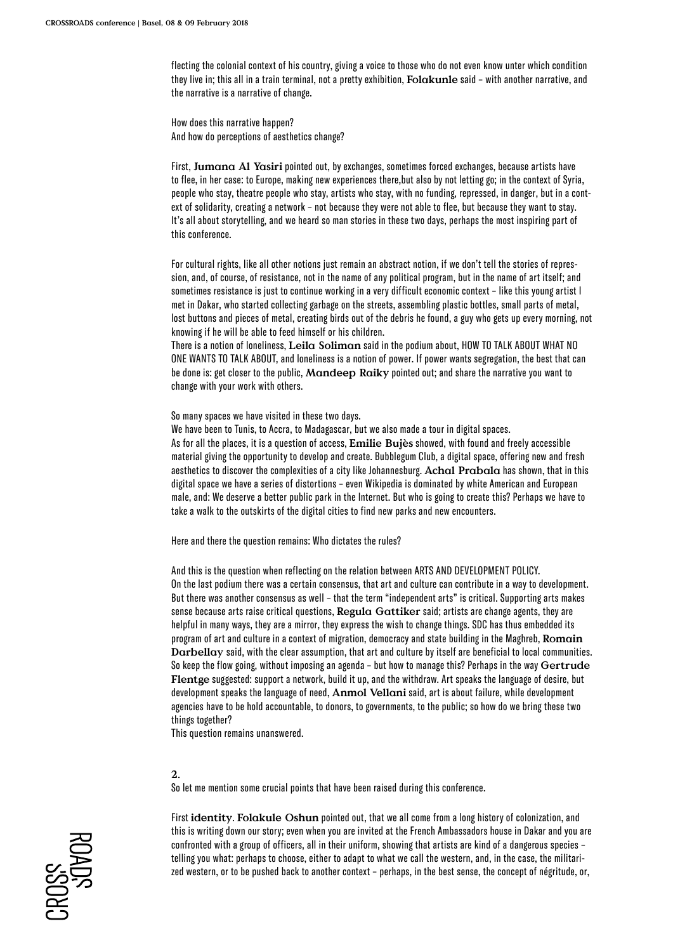flecting the colonial context of his country, giving a voice to those who do not even know unter which condition they live in; this all in a train terminal, not a pretty exhibition, **Folakunle** said – with another narrative, and the narrative is a narrative of change.

How does this narrative happen? And how do perceptions of aesthetics change?

First, **Jumana Al Yasiri** pointed out, by exchanges, sometimes forced exchanges, because artists have to flee, in her case: to Europe, making new experiences there,but also by not letting go; in the context of Syria, people who stay, theatre people who stay, artists who stay, with no funding, repressed, in danger, but in a context of solidarity, creating a network – not because they were not able to flee, but because they want to stay. It's all about storytelling, and we heard so man stories in these two days, perhaps the most inspiring part of this conference.

For cultural rights, like all other notions just remain an abstract notion, if we don't tell the stories of repression, and, of course, of resistance, not in the name of any political program, but in the name of art itself; and sometimes resistance is just to continue working in a very difficult economic context – like this young artist I met in Dakar, who started collecting garbage on the streets, assembling plastic bottles, small parts of metal, lost buttons and pieces of metal, creating birds out of the debris he found, a guy who gets up every morning, not knowing if he will be able to feed himself or his children.

There is a notion of loneliness, **Leila Soliman** said in the podium about, HOW TO TALK ABOUT WHAT NO ONE WANTS TO TALK ABOUT, and loneliness is a notion of power. If power wants segregation, the best that can be done is: get closer to the public, **Mandeep Raiky** pointed out; and share the narrative you want to change with your work with others.

So many spaces we have visited in these two days.

We have been to Tunis, to Accra, to Madagascar, but we also made a tour in digital spaces. As for all the places, it is a question of access, **Emilie Bujès** showed, with found and freely accessible material giving the opportunity to develop and create. Bubblegum Club, a digital space, offering new and fresh aesthetics to discover the complexities of a city like Johannesburg. **Achal Prabala** has shown, that in this digital space we have a series of distortions – even Wikipedia is dominated by white American and European male, and: We deserve a better public park in the Internet. But who is going to create this? Perhaps we have to take a walk to the outskirts of the digital cities to find new parks and new encounters.

Here and there the question remains: Who dictates the rules?

And this is the question when reflecting on the relation between ARTS AND DEVELOPMENT POLICY. On the last podium there was a certain consensus, that art and culture can contribute in a way to development. But there was another consensus as well – that the term "independent arts" is critical. Supporting arts makes sense because arts raise critical questions, **Regula Gattiker** said; artists are change agents, they are helpful in many ways, they are a mirror, they express the wish to change things. SDC has thus embedded its program of art and culture in a context of migration, democracy and state building in the Maghreb, **Romain Darbellay** said, with the clear assumption, that art and culture by itself are beneficial to local communities. So keep the flow going, without imposing an agenda – but how to manage this? Perhaps in the way **Gertrude Flentge** suggested: support a network, build it up, and the withdraw. Art speaks the language of desire, but development speaks the language of need, **Anmol Vellani** said, art is about failure, while development agencies have to be hold accountable, to donors, to governments, to the public; so how do we bring these two things together?

This question remains unanswered.

## **2.**

So let me mention some crucial points that have been raised during this conference.

First **identity**. **Folakule Oshun** pointed out, that we all come from a long history of colonization, and this is writing down our story; even when you are invited at the French Ambassadors house in Dakar and you are confronted with a group of officers, all in their uniform, showing that artists are kind of a dangerous species – telling you what: perhaps to choose, either to adapt to what we call the western, and, in the case, the militarized western, or to be pushed back to another context – perhaps, in the best sense, the concept of négritude, or,